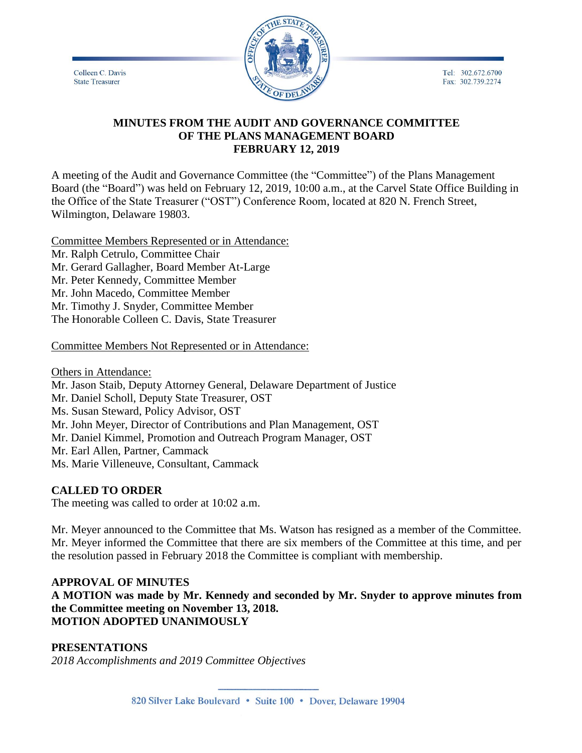Tel: 302.672.6700 Fax: 302.739.2274

Colleen C. Davis **State Treasurer** 



# **MINUTES FROM THE AUDIT AND GOVERNANCE COMMITTEE OF THE PLANS MANAGEMENT BOARD FEBRUARY 12, 2019**

A meeting of the Audit and Governance Committee (the "Committee") of the Plans Management Board (the "Board") was held on February 12, 2019, 10:00 a.m., at the Carvel State Office Building in the Office of the State Treasurer ("OST") Conference Room, located at 820 N. French Street, Wilmington, Delaware 19803.

Committee Members Represented or in Attendance: Mr. Ralph Cetrulo, Committee Chair Mr. Gerard Gallagher, Board Member At-Large Mr. Peter Kennedy, Committee Member Mr. John Macedo, Committee Member Mr. Timothy J. Snyder, Committee Member The Honorable Colleen C. Davis, State Treasurer

# Committee Members Not Represented or in Attendance:

Others in Attendance: Mr. Jason Staib, Deputy Attorney General, Delaware Department of Justice Mr. Daniel Scholl, Deputy State Treasurer, OST Ms. Susan Steward, Policy Advisor, OST Mr. John Meyer, Director of Contributions and Plan Management, OST Mr. Daniel Kimmel, Promotion and Outreach Program Manager, OST Mr. Earl Allen, Partner, Cammack Ms. Marie Villeneuve, Consultant, Cammack

#### **CALLED TO ORDER**

The meeting was called to order at 10:02 a.m.

Mr. Meyer announced to the Committee that Ms. Watson has resigned as a member of the Committee. Mr. Meyer informed the Committee that there are six members of the Committee at this time, and per the resolution passed in February 2018 the Committee is compliant with membership.

# **APPROVAL OF MINUTES**

**A MOTION was made by Mr. Kennedy and seconded by Mr. Snyder to approve minutes from the Committee meeting on November 13, 2018. MOTION ADOPTED UNANIMOUSLY**

# **PRESENTATIONS**

*2018 Accomplishments and 2019 Committee Objectives*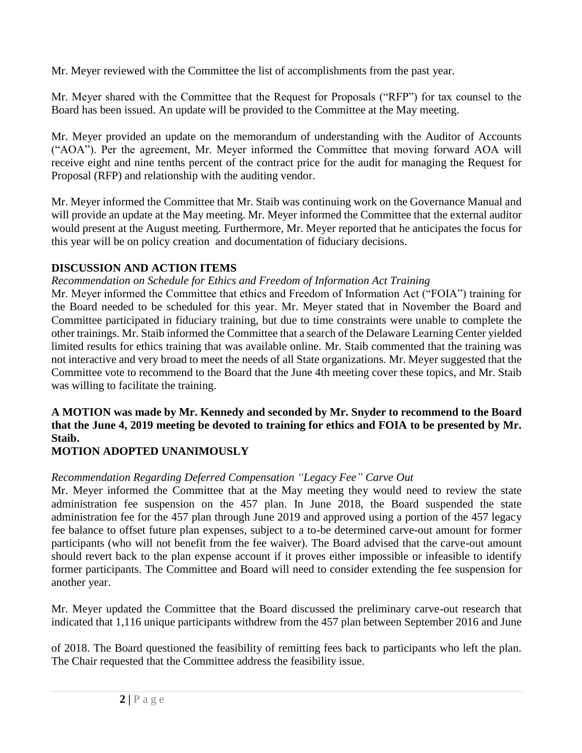Mr. Meyer reviewed with the Committee the list of accomplishments from the past year.

Mr. Meyer shared with the Committee that the Request for Proposals ("RFP") for tax counsel to the Board has been issued. An update will be provided to the Committee at the May meeting.

Mr. Meyer provided an update on the memorandum of understanding with the Auditor of Accounts ("AOA"). Per the agreement, Mr. Meyer informed the Committee that moving forward AOA will receive eight and nine tenths percent of the contract price for the audit for managing the Request for Proposal (RFP) and relationship with the auditing vendor.

Mr. Meyer informed the Committee that Mr. Staib was continuing work on the Governance Manual and will provide an update at the May meeting. Mr. Meyer informed the Committee that the external auditor would present at the August meeting. Furthermore, Mr. Meyer reported that he anticipates the focus for this year will be on policy creation and documentation of fiduciary decisions.

# **DISCUSSION AND ACTION ITEMS**

*Recommendation on Schedule for Ethics and Freedom of Information Act Training*

Mr. Meyer informed the Committee that ethics and Freedom of Information Act ("FOIA") training for the Board needed to be scheduled for this year. Mr. Meyer stated that in November the Board and Committee participated in fiduciary training, but due to time constraints were unable to complete the other trainings. Mr. Staib informed the Committee that a search of the Delaware Learning Center yielded limited results for ethics training that was available online. Mr. Staib commented that the training was not interactive and very broad to meet the needs of all State organizations. Mr. Meyer suggested that the Committee vote to recommend to the Board that the June 4th meeting cover these topics, and Mr. Staib was willing to facilitate the training.

# **A MOTION was made by Mr. Kennedy and seconded by Mr. Snyder to recommend to the Board that the June 4, 2019 meeting be devoted to training for ethics and FOIA to be presented by Mr. Staib.**

# **MOTION ADOPTED UNANIMOUSLY**

# *Recommendation Regarding Deferred Compensation "Legacy Fee" Carve Out*

Mr. Meyer informed the Committee that at the May meeting they would need to review the state administration fee suspension on the 457 plan. In June 2018, the Board suspended the state administration fee for the 457 plan through June 2019 and approved using a portion of the 457 legacy fee balance to offset future plan expenses, subject to a to-be determined carve-out amount for former participants (who will not benefit from the fee waiver). The Board advised that the carve-out amount should revert back to the plan expense account if it proves either impossible or infeasible to identify former participants. The Committee and Board will need to consider extending the fee suspension for another year.

Mr. Meyer updated the Committee that the Board discussed the preliminary carve-out research that indicated that 1,116 unique participants withdrew from the 457 plan between September 2016 and June

of 2018. The Board questioned the feasibility of remitting fees back to participants who left the plan. The Chair requested that the Committee address the feasibility issue.